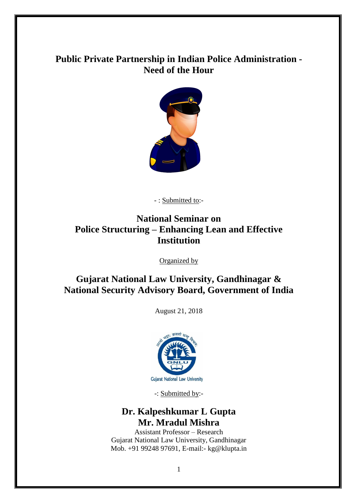# **Public Private Partnership in Indian Police Administration - Need of the Hour**



- : Submitted to:-

# **National Seminar on Police Structuring – Enhancing Lean and Effective Institution**

Organized by

## **Gujarat National Law University, Gandhinagar & National Security Advisory Board, Government of India**

August 21, 2018



-: Submitted by:-

# **Dr. Kalpeshkumar L Gupta Mr. Mradul Mishra**

Assistant Professor – Research Gujarat National Law University, Gandhinagar Mob. +91 99248 97691, E-mail:- kg@klupta.in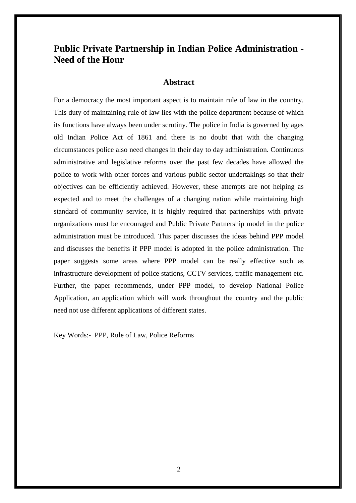# **Public Private Partnership in Indian Police Administration - Need of the Hour**

### **Abstract**

For a democracy the most important aspect is to maintain rule of law in the country. This duty of maintaining rule of law lies with the police department because of which its functions have always been under scrutiny. The police in India is governed by ages old Indian Police Act of 1861 and there is no doubt that with the changing circumstances police also need changes in their day to day administration. Continuous administrative and legislative reforms over the past few decades have allowed the police to work with other forces and various public sector undertakings so that their objectives can be efficiently achieved. However, these attempts are not helping as expected and to meet the challenges of a changing nation while maintaining high standard of community service, it is highly required that partnerships with private organizations must be encouraged and Public Private Partnership model in the police administration must be introduced. This paper discusses the ideas behind PPP model and discusses the benefits if PPP model is adopted in the police administration. The paper suggests some areas where PPP model can be really effective such as infrastructure development of police stations, CCTV services, traffic management etc. Further, the paper recommends, under PPP model, to develop National Police Application, an application which will work throughout the country and the public need not use different applications of different states.

Key Words:- PPP, Rule of Law, Police Reforms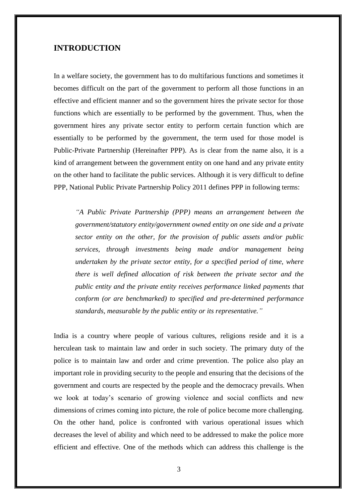### **INTRODUCTION**

In a welfare society, the government has to do multifarious functions and sometimes it becomes difficult on the part of the government to perform all those functions in an effective and efficient manner and so the government hires the private sector for those functions which are essentially to be performed by the government. Thus, when the government hires any private sector entity to perform certain function which are essentially to be performed by the government, the term used for those model is Public-Private Partnership (Hereinafter PPP). As is clear from the name also, it is a kind of arrangement between the government entity on one hand and any private entity on the other hand to facilitate the public services. Although it is very difficult to define PPP, National Public Private Partnership Policy 2011 defines PPP in following terms:

*"A Public Private Partnership (PPP) means an arrangement between the government/statutory entity/government owned entity on one side and a private sector entity on the other, for the provision of public assets and/or public services, through investments being made and/or management being undertaken by the private sector entity, for a specified period of time, where there is well defined allocation of risk between the private sector and the public entity and the private entity receives performance linked payments that conform (or are benchmarked) to specified and pre-determined performance standards, measurable by the public entity or its representative."*

India is a country where people of various cultures, religions reside and it is a herculean task to maintain law and order in such society. The primary duty of the police is to maintain law and order and crime prevention. The police also play an important role in providing security to the people and ensuring that the decisions of the government and courts are respected by the people and the democracy prevails. When we look at today's scenario of growing violence and social conflicts and new dimensions of crimes coming into picture, the role of police become more challenging. On the other hand, police is confronted with various operational issues which decreases the level of ability and which need to be addressed to make the police more efficient and effective. One of the methods which can address this challenge is the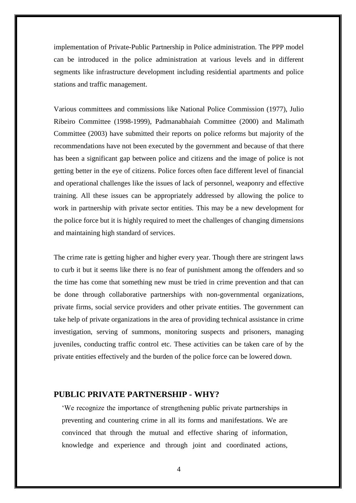implementation of Private-Public Partnership in Police administration. The PPP model can be introduced in the police administration at various levels and in different segments like infrastructure development including residential apartments and police stations and traffic management.

Various committees and commissions like National Police Commission (1977), Julio Ribeiro Committee (1998-1999), Padmanabhaiah Committee (2000) and Malimath Committee (2003) have submitted their reports on police reforms but majority of the recommendations have not been executed by the government and because of that there has been a significant gap between police and citizens and the image of police is not getting better in the eye of citizens. Police forces often face different level of financial and operational challenges like the issues of lack of personnel, weaponry and effective training. All these issues can be appropriately addressed by allowing the police to work in partnership with private sector entities. This may be a new development for the police force but it is highly required to meet the challenges of changing dimensions and maintaining high standard of services.

The crime rate is getting higher and higher every year. Though there are stringent laws to curb it but it seems like there is no fear of punishment among the offenders and so the time has come that something new must be tried in crime prevention and that can be done through collaborative partnerships with non-governmental organizations, private firms, social service providers and other private entities. The government can take help of private organizations in the area of providing technical assistance in crime investigation, serving of summons, monitoring suspects and prisoners, managing juveniles, conducting traffic control etc. These activities can be taken care of by the private entities effectively and the burden of the police force can be lowered down.

### **PUBLIC PRIVATE PARTNERSHIP - WHY?**

'We recognize the importance of strengthening public private partnerships in preventing and countering crime in all its forms and manifestations. We are convinced that through the mutual and effective sharing of information, knowledge and experience and through joint and coordinated actions,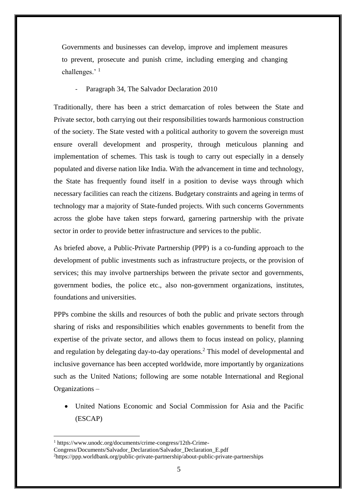Governments and businesses can develop, improve and implement measures to prevent, prosecute and punish crime, including emerging and changing challenges.' <sup>1</sup>

Paragraph 34, The Salvador Declaration 2010

Traditionally, there has been a strict demarcation of roles between the State and Private sector, both carrying out their responsibilities towards harmonious construction of the society. The State vested with a political authority to govern the sovereign must ensure overall development and prosperity, through meticulous planning and implementation of schemes. This task is tough to carry out especially in a densely populated and diverse nation like India. With the advancement in time and technology, the State has frequently found itself in a position to devise ways through which necessary facilities can reach the citizens. Budgetary constraints and ageing in terms of technology mar a majority of State-funded projects. With such concerns Governments across the globe have taken steps forward, garnering partnership with the private sector in order to provide better infrastructure and services to the public.

As briefed above, a Public-Private Partnership (PPP) is a co-funding approach to the development of public investments such as infrastructure projects, or the provision of services; this may involve partnerships between the private sector and governments, government bodies, the police etc., also non-government organizations, institutes, foundations and universities.

PPPs combine the skills and resources of both the public and private sectors through sharing of risks and responsibilities which enables governments to benefit from the expertise of the private sector, and allows them to focus instead on policy, planning and regulation by delegating day-to-day operations.<sup>2</sup> This model of developmental and inclusive governance has been accepted worldwide, more importantly by organizations such as the United Nations; following are some notable International and Regional Organizations –

 United Nations Economic and Social Commission for Asia and the Pacific (ESCAP)

<sup>1</sup> https://www.unodc.org/documents/crime-congress/12th-Crime-

Congress/Documents/Salvador\_Declaration/Salvador\_Declaration\_E.pdf

<sup>&</sup>lt;sup>2</sup>https://ppp.worldbank.org/public-private-partnership/about-public-private-partnerships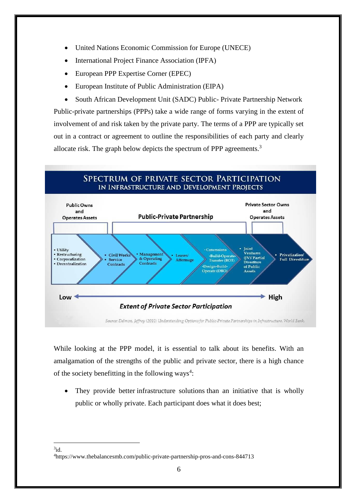- United Nations Economic Commission for Europe (UNECE)
- International Project Finance Association (IPFA)
- European PPP Expertise Corner (EPEC)
- European Institute of Public Administration (EIPA)

 South African Development Unit (SADC) Public- Private Partnership Network Public-private partnerships (PPPs) take a wide range of forms varying in the extent of involvement of and risk taken by the private party. The terms of a PPP are typically set out in a contract or agreement to outline the responsibilities of each party and clearly allocate risk. The graph below depicts the spectrum of PPP agreements.<sup>3</sup>



While looking at the PPP model, it is essential to talk about its benefits. With an amalgamation of the strengths of the public and private sector, there is a high chance of the society benefitting in the following ways<sup>4</sup>:

 They provide better infrastructure solutions than an initiative that is wholly public or wholly private. Each participant does what it does best;

1  $3id.$ 

<sup>4</sup>https://www.thebalancesmb.com/public-private-partnership-pros-and-cons-844713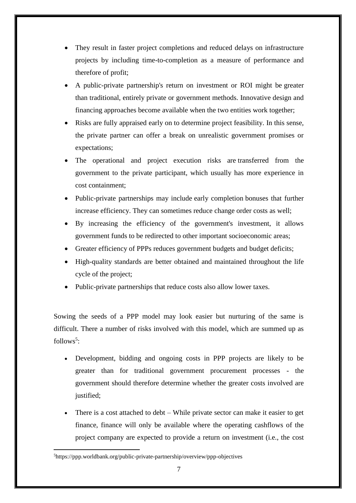- They result in faster project completions and reduced delays on infrastructure projects by including time-to-completion as a measure of performance and therefore of profit;
- A public-private partnership's return on investment or ROI might be greater than traditional, entirely private or government methods. Innovative design and financing approaches become available when the two entities work together;
- Risks are fully appraised early on to determine project feasibility. In this sense, the private partner can offer a break on unrealistic government promises or expectations;
- The operational and project execution risks are transferred from the government to the private participant, which usually has more experience in cost containment;
- Public-private partnerships may include early completion bonuses that further increase efficiency. They can sometimes reduce change order costs as well;
- By increasing the efficiency of the government's investment, it allows government funds to be redirected to other important socioeconomic areas;
- Greater efficiency of PPPs reduces government budgets and budget deficits;
- High-quality standards are better obtained and maintained throughout the life cycle of the project;
- Public-private partnerships that reduce costs also allow lower taxes.

Sowing the seeds of a PPP model may look easier but nurturing of the same is difficult. There a number of risks involved with this model, which are summed up as follows<sup>5</sup>:

- Development, bidding and ongoing costs in PPP projects are likely to be greater than for traditional government procurement processes - the government should therefore determine whether the greater costs involved are justified;
- There is a cost attached to debt While private sector can make it easier to get finance, finance will only be available where the operating cashflows of the project company are expected to provide a return on investment (i.e., the cost

<sup>5</sup>https://ppp.worldbank.org/public-private-partnership/overview/ppp-objectives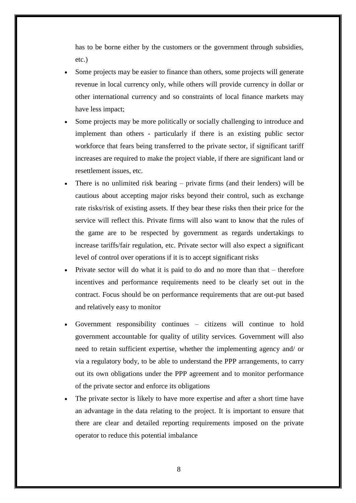has to be borne either by the customers or the government through subsidies, etc.)

- Some projects may be easier to finance than others, some projects will generate revenue in local currency only, while others will provide currency in dollar or other international currency and so constraints of local finance markets may have less impact;
- Some projects may be more politically or socially challenging to introduce and implement than others - particularly if there is an existing public sector workforce that fears being transferred to the private sector, if significant tariff increases are required to make the project viable, if there are significant land or resettlement issues, etc.
- There is no unlimited risk bearing private firms (and their lenders) will be cautious about accepting major risks beyond their control, such as exchange rate risks/risk of existing assets. If they bear these risks then their price for the service will reflect this. Private firms will also want to know that the rules of the game are to be respected by government as regards undertakings to increase tariffs/fair regulation, etc. Private sector will also expect a significant level of control over operations if it is to accept significant risks
- Private sector will do what it is paid to do and no more than that therefore incentives and performance requirements need to be clearly set out in the contract. Focus should be on performance requirements that are out-put based and relatively easy to monitor
- Government responsibility continues citizens will continue to hold government accountable for quality of utility services. Government will also need to retain sufficient expertise, whether the implementing agency and/ or via a regulatory body, to be able to understand the PPP arrangements, to carry out its own obligations under the PPP agreement and to monitor performance of the private sector and enforce its obligations
- The private sector is likely to have more expertise and after a short time have an advantage in the data relating to the project. It is important to ensure that there are clear and detailed reporting requirements imposed on the private operator to reduce this potential imbalance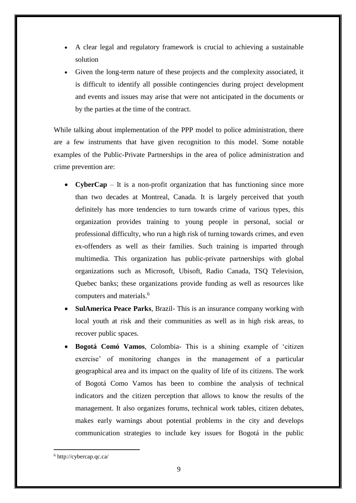- A clear legal and regulatory framework is crucial to achieving a sustainable solution
- Given the long-term nature of these projects and the complexity associated, it is difficult to identify all possible contingencies during project development and events and issues may arise that were not anticipated in the documents or by the parties at the time of the contract.

While talking about implementation of the PPP model to police administration, there are a few instruments that have given recognition to this model. Some notable examples of the Public-Private Partnerships in the area of police administration and crime prevention are:

- **CyberCap** It is a non-profit organization that has functioning since more than two decades at Montreal, Canada. It is largely perceived that youth definitely has more tendencies to turn towards crime of various types, this organization provides training to young people in personal, social or professional difficulty, who run a high risk of turning towards crimes, and even ex-offenders as well as their families. Such training is imparted through multimedia. This organization has public-private partnerships with global organizations such as Microsoft, Ubisoft, Radio Canada, TSQ Television, Quebec banks; these organizations provide funding as well as resources like computers and materials.<sup>6</sup>
- **SulAmerica Peace Parks**, Brazil- This is an insurance company working with local youth at risk and their communities as well as in high risk areas, to recover public spaces.
- **Bogotá Comó Vamos**, Colombia- This is a shining example of 'citizen exercise' of monitoring changes in the management of a particular geographical area and its impact on the quality of life of its citizens. The work of Bogotá Como Vamos has been to combine the analysis of technical indicators and the citizen perception that allows to know the results of the management. It also organizes forums, technical work tables, citizen debates, makes early warnings about potential problems in the city and develops communication strategies to include key issues for Bogotá in the public

<sup>6</sup> http://cybercap.qc.ca/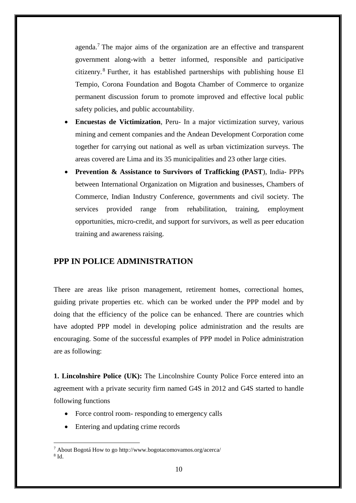agenda.<sup>7</sup> The major aims of the organization are an effective and transparent government along-with a better informed, responsible and participative citizenry. <sup>8</sup> Further, it has established partnerships with publishing house El Tempio, Corona Foundation and Bogota Chamber of Commerce to organize permanent discussion forum to promote improved and effective local public safety policies, and public accountability.

- **Encuestas de Victimization**, Peru- In a major victimization survey, various mining and cement companies and the Andean Development Corporation come together for carrying out national as well as urban victimization surveys. The areas covered are Lima and its 35 municipalities and 23 other large cities.
- **Prevention & Assistance to Survivors of Trafficking (PAST**), India- PPPs between International Organization on Migration and businesses, Chambers of Commerce, Indian Industry Conference, governments and civil society. The services provided range from rehabilitation, training, employment opportunities, micro-credit, and support for survivors, as well as peer education training and awareness raising.

## **PPP IN POLICE ADMINISTRATION**

There are areas like prison management, retirement homes, correctional homes, guiding private properties etc. which can be worked under the PPP model and by doing that the efficiency of the police can be enhanced. There are countries which have adopted PPP model in developing police administration and the results are encouraging. Some of the successful examples of PPP model in Police administration are as following:

**1. Lincolnshire Police (UK):** The Lincolnshire County Police Force entered into an agreement with a private security firm named G4S in 2012 and G4S started to handle following functions

- Force control room- responding to emergency calls
- Entering and updating crime records

<sup>7</sup> About Bogotá How to go http://www.bogotacomovamos.org/acerca/ 8 Id.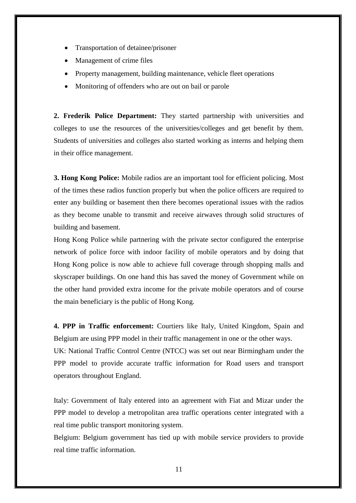- Transportation of detainee/prisoner
- Management of crime files
- Property management, building maintenance, vehicle fleet operations
- Monitoring of offenders who are out on bail or parole

**2. Frederik Police Department:** They started partnership with universities and colleges to use the resources of the universities/colleges and get benefit by them. Students of universities and colleges also started working as interns and helping them in their office management.

**3. Hong Kong Police:** Mobile radios are an important tool for efficient policing. Most of the times these radios function properly but when the police officers are required to enter any building or basement then there becomes operational issues with the radios as they become unable to transmit and receive airwaves through solid structures of building and basement.

Hong Kong Police while partnering with the private sector configured the enterprise network of police force with indoor facility of mobile operators and by doing that Hong Kong police is now able to achieve full coverage through shopping malls and skyscraper buildings. On one hand this has saved the money of Government while on the other hand provided extra income for the private mobile operators and of course the main beneficiary is the public of Hong Kong.

**4. PPP in Traffic enforcement:** Courtiers like Italy, United Kingdom, Spain and Belgium are using PPP model in their traffic management in one or the other ways. UK: National Traffic Control Centre (NTCC) was set out near Birmingham under the PPP model to provide accurate traffic information for Road users and transport operators throughout England.

Italy: Government of Italy entered into an agreement with Fiat and Mizar under the PPP model to develop a metropolitan area traffic operations center integrated with a real time public transport monitoring system.

Belgium: Belgium government has tied up with mobile service providers to provide real time traffic information.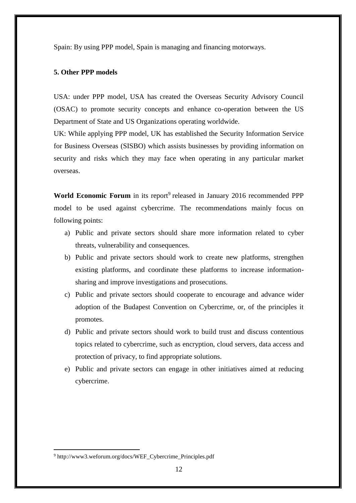Spain: By using PPP model, Spain is managing and financing motorways.

### **5. Other PPP models**

USA: under PPP model, USA has created the Overseas Security Advisory Council (OSAC) to promote security concepts and enhance co-operation between the US Department of State and US Organizations operating worldwide.

UK: While applying PPP model, UK has established the Security Information Service for Business Overseas (SISBO) which assists businesses by providing information on security and risks which they may face when operating in any particular market overseas.

World Economic Forum in its report<sup>9</sup> released in January 2016 recommended PPP model to be used against cybercrime. The recommendations mainly focus on following points:

- a) Public and private sectors should share more information related to cyber threats, vulnerability and consequences.
- b) Public and private sectors should work to create new platforms, strengthen existing platforms, and coordinate these platforms to increase informationsharing and improve investigations and prosecutions.
- c) Public and private sectors should cooperate to encourage and advance wider adoption of the Budapest Convention on Cybercrime, or, of the principles it promotes.
- d) Public and private sectors should work to build trust and discuss contentious topics related to cybercrime, such as encryption, cloud servers, data access and protection of privacy, to find appropriate solutions.
- e) Public and private sectors can engage in other initiatives aimed at reducing cybercrime.

<sup>9</sup> http://www3.weforum.org/docs/WEF\_Cybercrime\_Principles.pdf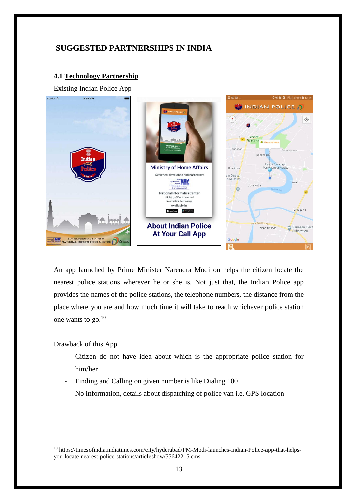## **SUGGESTED PARTNERSHIPS IN INDIA**

### **4.1 Technology Partnership**

Existing Indian Police App



An app launched by Prime Minister Narendra Modi on helps the citizen locate the nearest police stations wherever he or she is. Not just that, the Indian Police app provides the names of the police stations, the telephone numbers, the distance from the place where you are and how much time it will take to reach whichever police station one wants to go. 10

Drawback of this App

- Citizen do not have idea about which is the appropriate police station for him/her
- Finding and Calling on given number is like Dialing 100
- No information, details about dispatching of police van i.e. GPS location

<sup>10</sup> https://timesofindia.indiatimes.com/city/hyderabad/PM-Modi-launches-Indian-Police-app-that-helpsyou-locate-nearest-police-stations/articleshow/55642215.cms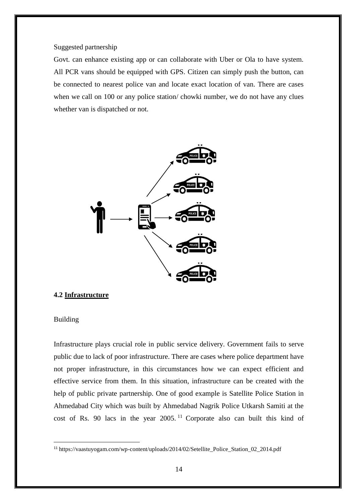Suggested partnership

Govt. can enhance existing app or can collaborate with Uber or Ola to have system. All PCR vans should be equipped with GPS. Citizen can simply push the button, can be connected to nearest police van and locate exact location of van. There are cases when we call on 100 or any police station/ chowki number, we do not have any clues whether van is dispatched or not.



#### **4.2 Infrastructure**

### Building

1

Infrastructure plays crucial role in public service delivery. Government fails to serve public due to lack of poor infrastructure. There are cases where police department have not proper infrastructure, in this circumstances how we can expect efficient and effective service from them. In this situation, infrastructure can be created with the help of public private partnership. One of good example is Satellite Police Station in Ahmedabad City which was built by Ahmedabad Nagrik Police Utkarsh Samiti at the cost of Rs. 90 lacs in the year 2005. <sup>11</sup> Corporate also can built this kind of

<sup>11</sup> https://vaastuyogam.com/wp-content/uploads/2014/02/Setellite\_Police\_Station\_02\_2014.pdf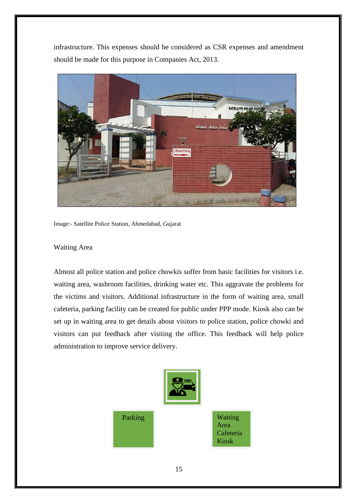infrastructure. This expenses should be considered as CSR expenses and amendment should be made for this purpose in Companies Act, 2013.



Image:- Satellite Police Station, Ahmedabad, Gujarat

### Waiting Area

Almost all police station and police chowkis suffer from basic facilities for visitors i.e. waiting area, washroom facilities, drinking water etc. This aggravate the problems for the victims and visitors. Additional infrastructure in the form of waiting area, small cafeteria, parking facility can be created for public under PPP mode. Kiosk also can be set up in waiting area to get details about visitors to police station, police chowki and visitors can put feedback after visiting the office. This feedback will help police administration to improve service delivery.

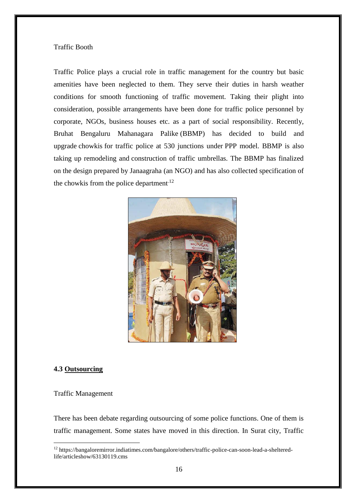#### Traffic Booth

Traffic Police plays a crucial role in traffic management for the country but basic amenities have been neglected to them. They serve their duties in harsh weather conditions for smooth functioning of traffic movement. Taking their plight into consideration, possible arrangements have been done for traffic police personnel by corporate, NGOs, business houses etc. as a part of social responsibility. Recently, Bruhat Bengaluru Mahanagara Palike (BBMP) has decided to build and upgrade chowkis for traffic police at 530 junctions under PPP model. BBMP is also taking up remodeling and construction of traffic umbrellas. The BBMP has finalized on the design prepared by Janaagraha (an NGO) and has also collected specification of the chowkis from the police department<sup>12</sup>



### **4.3 Outsourcing**

#### Traffic Management

1

There has been debate regarding outsourcing of some police functions. One of them is traffic management. Some states have moved in this direction. In Surat city, Traffic

<sup>12</sup> https://bangaloremirror.indiatimes.com/bangalore/others/traffic-police-can-soon-lead-a-shelteredlife/articleshow/63130119.cms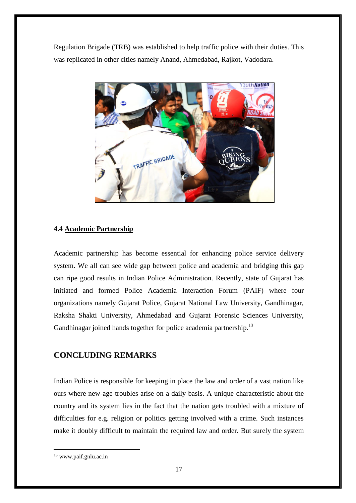Regulation Brigade (TRB) was established to help traffic police with their duties. This was replicated in other cities namely Anand, Ahmedabad, Rajkot, Vadodara.



## **4.4 Academic Partnership**

Academic partnership has become essential for enhancing police service delivery system. We all can see wide gap between police and academia and bridging this gap can ripe good results in Indian Police Administration. Recently, state of Gujarat has initiated and formed Police Academia Interaction Forum (PAIF) where four organizations namely Gujarat Police, Gujarat National Law University, Gandhinagar, Raksha Shakti University, Ahmedabad and Gujarat Forensic Sciences University, Gandhinagar joined hands together for police academia partnership.<sup>13</sup>

## **CONCLUDING REMARKS**

Indian Police is responsible for keeping in place the law and order of a vast nation like ours where new-age troubles arise on a daily basis. A unique characteristic about the country and its system lies in the fact that the nation gets troubled with a mixture of difficulties for e.g. religion or politics getting involved with a crime. Such instances make it doubly difficult to maintain the required law and order. But surely the system

<sup>13</sup> www.paif.gnlu.ac.in